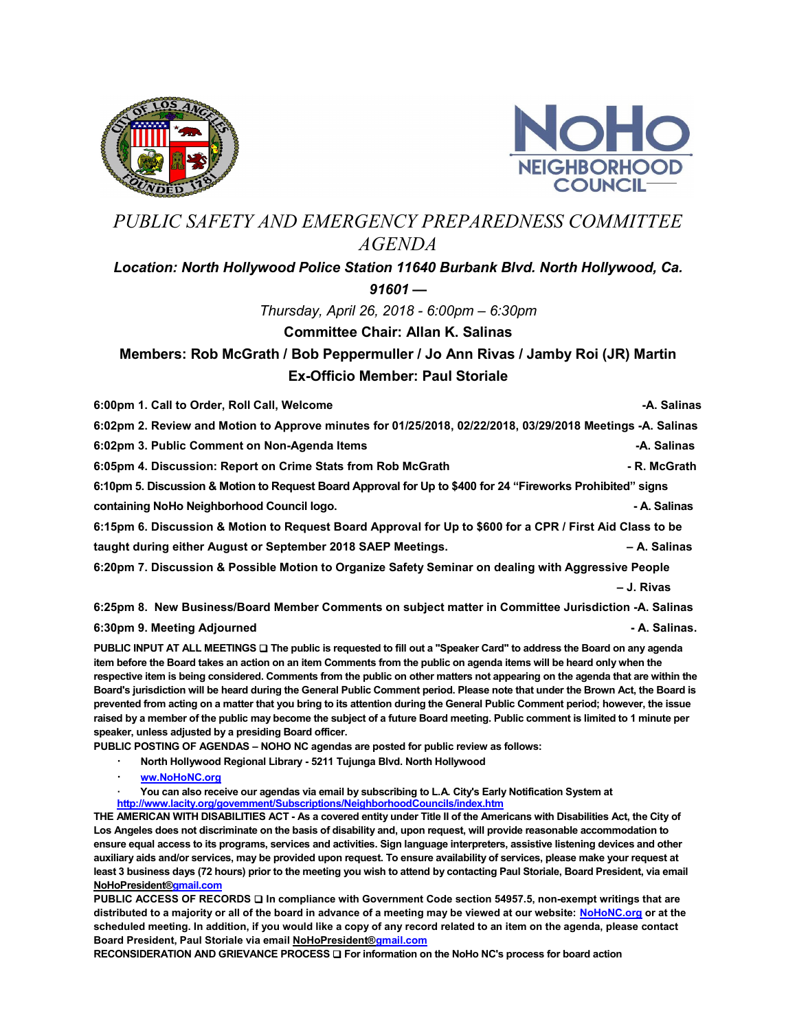



## PUBLIC SAFETY AND EMERGENCY PREPAREDNESS COMMITTEE AGENDA

## Location: North Hollywood Police Station 11640 Burbank Blvd. North Hollywood, Ca.  $91601 -$

Thursday, April 26, 2018 - 6:00pm – 6:30pm

## Committee Chair: Allan K. Salinas

## Members: Rob McGrath / Bob Peppermuller / Jo Ann Rivas / Jamby Roi (JR) Martin Ex-Officio Member: Paul Storiale

| 6:00pm 1. Call to Order, Roll Call, Welcome                                                                 | -A. Salinas  |
|-------------------------------------------------------------------------------------------------------------|--------------|
| 6:02pm 2. Review and Motion to Approve minutes for 01/25/2018, 02/22/2018, 03/29/2018 Meetings -A. Salinas  |              |
| 6:02pm 3. Public Comment on Non-Agenda Items                                                                | -A. Salinas  |
| 6:05pm 4. Discussion: Report on Crime Stats from Rob McGrath                                                | - R. McGrath |
| 6:10pm 5. Discussion & Motion to Request Board Approval for Up to \$400 for 24 "Fireworks Prohibited" signs |              |
| containing NoHo Neighborhood Council logo.                                                                  | - A. Salinas |
| 6:15pm 6. Discussion & Motion to Request Board Approval for Up to \$600 for a CPR / First Aid Class to be   |              |
| taught during either August or September 2018 SAEP Meetings.                                                | - A. Salinas |
| 6:20pm 7. Discussion & Possible Motion to Organize Safety Seminar on dealing with Aggressive People         |              |
|                                                                                                             | - J. Rivas   |
| 6:25pm 8. New Business/Board Member Comments on subject matter in Committee Jurisdiction -A. Salinas        |              |

6:30pm 9. Meeting Adjourned  $\bullet$  A. Salinas.

PUBLIC INPUT AT ALL MEETINGS  $\square$  The public is requested to fill out a "Speaker Card" to address the Board on any agenda item before the Board takes an action on an item Comments from the public on agenda items will be heard only when the respective item is being considered. Comments from the public on other matters not appearing on the agenda that are within the Board's jurisdiction will be heard during the General Public Comment period. Please note that under the Brown Act, the Board is prevented from acting on a matter that you bring to its attention during the General Public Comment period; however, the issue raised by a member of the public may become the subject of a future Board meeting. Public comment is limited to 1 minute per speaker, unless adjusted by a presiding Board officer.

PUBLIC POSTING OF AGENDAS – NOHO NC agendas are posted for public review as follows:

- · North Hollywood Regional Library 5211 Tujunga Blvd. North Hollywood
- · ww.NoHoNC.org
- You can also receive our agendas via email by subscribing to L.A. City's Early Notification System at http://www.lacity.org/govemment/Subscriptions/NeighborhoodCouncils/index.htm

THE AMERICAN WITH DISABILITIES ACT - As a covered entity under Title II of the Americans with Disabilities Act, the City of Los Angeles does not discriminate on the basis of disability and, upon request, will provide reasonable accommodation to ensure equal access to its programs, services and activities. Sign language interpreters, assistive listening devices and other auxiliary aids and/or services, may be provided upon request. To ensure availability of services, please make your request at least 3 business days (72 hours) prior to the meeting you wish to attend by contacting Paul Storiale, Board President, via email NoHoPresident®gmail.com

PUBLIC ACCESS OF RECORDS  $\square$  In compliance with Government Code section 54957.5, non-exempt writings that are distributed to a majority or all of the board in advance of a meeting may be viewed at our website: NoHoNC.org or at the scheduled meeting. In addition, if you would like a copy of any record related to an item on the agenda, please contact Board President, Paul Storiale via email NoHoPresident®gmail.com

RECONSIDERATION AND GRIEVANCE PROCESS  $\square$  For information on the NoHo NC's process for board action